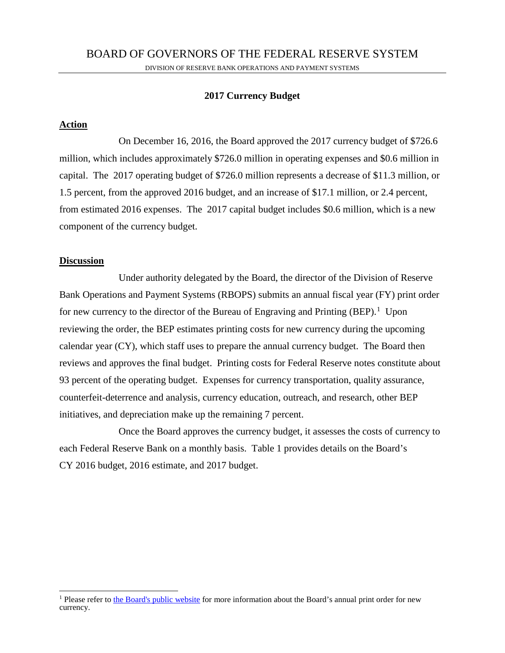# **2017 Currency Budget**

# **Action**

 On December 16, 2016, the Board approved the 2017 currency budget of \$726.6 million, which includes approximately \$726.0 million in operating expenses and \$0.6 million in capital. The 2017 operating budget of \$726.0 million represents a decrease of \$11.3 million, or 1.5 percent, from the approved 2016 budget, and an increase of \$17.1 million, or 2.4 percent, from estimated 2016 expenses. The 2017 capital budget includes \$0.6 million, which is a new component of the currency budget.

## **Discussion**

 Under authority delegated by the Board, the director of the Division of Reserve Bank Operations and Payment Systems (RBOPS) submits an annual fiscal year (FY) print order for new currency to the director of the Bureau of Engraving and Printing  $(BEP)$ .<sup>1</sup> Upon reviewing the order, the BEP estimates printing costs for new currency during the upcoming calendar year (CY), which staff uses to prepare the annual currency budget. The Board then reviews and approves the final budget. Printing costs for Federal Reserve notes constitute about 93 percent of the operating budget. Expenses for currency transportation, quality assurance, counterfeit-deterrence and analysis, currency education, outreach, and research, other BEP initiatives, and depreciation make up the remaining 7 percent.

 Once the Board approves the currency budget, it assesses the costs of currency to each Federal Reserve Bank on a monthly basis. Table 1 provides details on the Board's CY 2016 budget, 2016 estimate, and 2017 budget.

<sup>&</sup>lt;sup>1</sup> Please refer to the Board's public website for more information about the Board's annual print order for new currency.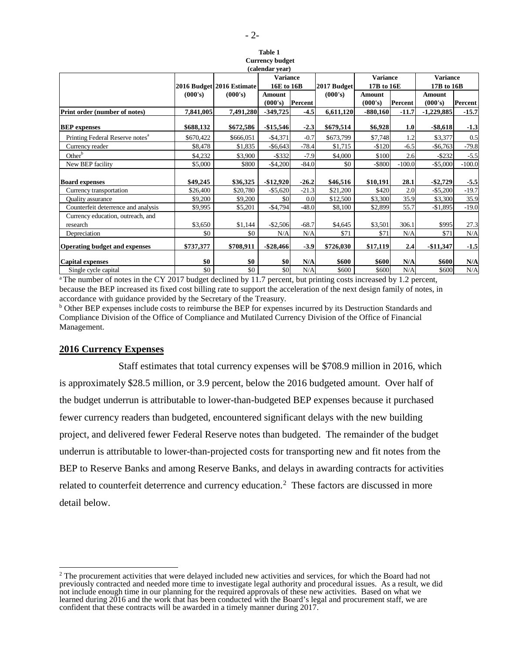| (calendar year)                             |           |                           |                 |         |             |                 |          |                 |          |  |  |  |  |
|---------------------------------------------|-----------|---------------------------|-----------------|---------|-------------|-----------------|----------|-----------------|----------|--|--|--|--|
|                                             |           |                           | <b>Variance</b> |         |             | <b>Variance</b> |          | <b>Variance</b> |          |  |  |  |  |
|                                             |           | 2016 Budget 2016 Estimate | 16E to 16B      |         | 2017 Budget | 17B to 16E      |          | 17B to 16B      |          |  |  |  |  |
|                                             | (000's)   | (000's)                   | Amount          |         | (000's)     | Amount          |          | Amount          |          |  |  |  |  |
|                                             |           |                           | (000's)         | Percent |             | (000's)         | Percent  | (000's)         | Percent  |  |  |  |  |
| Print order (number of notes)               | 7,841,005 | 7,491,280                 | $-349,725$      | $-4.5$  | 6,611,120   | $-880,160$      | $-11.7$  | $-1,229,885$    | $-15.7$  |  |  |  |  |
| <b>BEP</b> expenses                         | \$688,132 | \$672,586                 | $-$15,546$      | $-2.3$  | \$679,514   | \$6,928         | 1.0      | $-$ \$8,618     | $-1.3$   |  |  |  |  |
|                                             |           |                           |                 |         |             |                 |          |                 |          |  |  |  |  |
| Printing Federal Reserve notes <sup>a</sup> | \$670,422 | \$666,051                 | $-$4,371$       | $-0.7$  | \$673,799   | \$7,748         | 1.2      | \$3,377         | 0.5      |  |  |  |  |
| Currency reader                             | \$8,478   | \$1,835                   | $-$ \$6,643     | $-78.4$ | \$1,715     | $-$120$         | $-6.5$   | $-$6,763$       | $-79.8$  |  |  |  |  |
| Other <sup>b</sup>                          | \$4,232   | \$3,900                   | $-$ \$332       | $-7.9$  | \$4,000     | \$100           | 2.6      | $-$ \$232       | $-5.5$   |  |  |  |  |
| New BEP facility                            | \$5,000   | \$800                     | $-$4,200$       | $-84.0$ | \$0         | $-$ \$800       | $-100.0$ | $-$5,000$       | $-100.0$ |  |  |  |  |
| <b>Board expenses</b>                       | \$49,245  | \$36,325                  | $-$12,920$      | $-26.2$ | \$46,516    | \$10,191        | 28.1     | $-$2,729$       | $-5.5$   |  |  |  |  |
| Currency transportation                     | \$26,400  | \$20,780                  | $-$5,620$       | $-21.3$ | \$21,200    | \$420           | 2.0      | $-$5,200$       | $-19.7$  |  |  |  |  |
| <b>Ouality</b> assurance                    | \$9,200   | \$9,200                   | \$0             | 0.0     | \$12,500    | \$3,300         | 35.9     | \$3,300         | 35.9     |  |  |  |  |
| Counterfeit deterrence and analysis         | \$9,995   | \$5,201                   | $-$4,794$       | $-48.0$ | \$8,100     | \$2,899         | 55.7     | $-$1,895$       | $-19.0$  |  |  |  |  |
| Currency education, outreach, and           |           |                           |                 |         |             |                 |          |                 |          |  |  |  |  |
| research                                    | \$3,650   | \$1,144                   | $-$2,506$       | $-68.7$ | \$4,645     | \$3,501         | 306.1    | \$995           | 27.3     |  |  |  |  |
| Depreciation                                | \$0       | \$0                       | N/A             | N/A     | \$71        | \$71            | N/A      | \$71            | N/A      |  |  |  |  |
| <b>Operating budget and expenses</b>        | \$737,377 | \$708,911                 | $-$ \$28,466    | $-3.9$  | \$726,030   | \$17,119        | 2.4      | $-$11,347$      | $-1.5$   |  |  |  |  |
| Capital expenses                            | \$0       | \$0                       | \$0             | N/A     | \$600       | \$600           | N/A      | \$600           | N/A      |  |  |  |  |
| Single cycle capital                        | \$0       | \$0                       | \$0             | N/A     | \$600       | \$600           | N/A      | \$600           | N/A      |  |  |  |  |

<sup>a</sup> The number of notes in the CY 2017 budget declined by 11.7 percent, but printing costs increased by 1.2 percent, because the BEP increased its fixed cost billing rate to support the acceleration of the next design family of notes, in accordance with guidance provided by the Secretary of the Treasury.

<sup>b</sup> Other BEP expenses include costs to reimburse the BEP for expenses incurred by its Destruction Standards and Compliance Division of the Office of Compliance and Mutilated Currency Division of the Office of Financial Management.

## **2016 Currency Expenses**

 $\overline{a}$ 

 Staff estimates that total currency expenses will be \$708.9 million in 2016, which is approximately \$28.5 million, or 3.9 percent, below the 2016 budgeted amount. Over half of the budget underrun is attributable to lower-than-budgeted BEP expenses because it purchased fewer currency readers than budgeted, encountered significant delays with the new building project, and delivered fewer Federal Reserve notes than budgeted. The remainder of the budget underrun is attributable to lower-than-projected costs for transporting new and fit notes from the BEP to Reserve Banks and among Reserve Banks, and delays in awarding contracts for activities related to counterfeit deterrence and currency education.<sup>2</sup> These factors are discussed in more detail below.

**Table 1 Currency budget**

<sup>&</sup>lt;sup>2</sup> The procurement activities that were delayed included new activities and services, for which the Board had not previously contracted and needed more time to investigate legal authority and procedural issues. As a result, we did not include enough time in our planning for the required approvals of these new activities. Based on what we learned during 2016 and the work that has been conducted with the Board's legal and procurement staff, we are confident that these contracts will be awarded in a timely manner during 2017.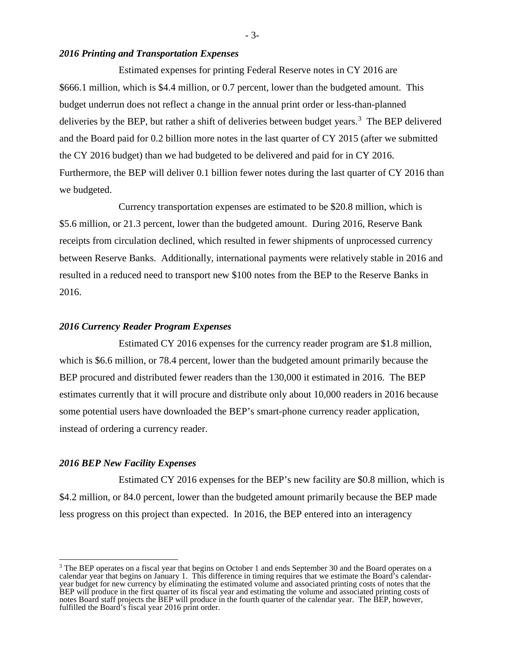## *2016 Printing and Transportation Expenses*

 Estimated expenses for printing Federal Reserve notes in CY 2016 are \$666.1 million, which is \$4.4 million, or 0.7 percent, lower than the budgeted amount. This budget underrun does not reflect a change in the annual print order or less-than-planned deliveries by the BEP, but rather a shift of deliveries between budget years.<sup>3</sup> The BEP delivered and the Board paid for 0.2 billion more notes in the last quarter of CY 2015 (after we submitted the CY 2016 budget) than we had budgeted to be delivered and paid for in CY 2016. Furthermore, the BEP will deliver 0.1 billion fewer notes during the last quarter of CY 2016 than we budgeted.

Currency transportation expenses are estimated to be \$20.8 million, which is \$5.6 million, or 21.3 percent, lower than the budgeted amount. During 2016, Reserve Bank receipts from circulation declined, which resulted in fewer shipments of unprocessed currency between Reserve Banks. Additionally, international payments were relatively stable in 2016 and resulted in a reduced need to transport new \$100 notes from the BEP to the Reserve Banks in 2016.

## *2016 Currency Reader Program Expenses*

Estimated CY 2016 expenses for the currency reader program are \$1.8 million, which is \$6.6 million, or 78.4 percent, lower than the budgeted amount primarily because the BEP procured and distributed fewer readers than the 130,000 it estimated in 2016. The BEP estimates currently that it will procure and distribute only about 10,000 readers in 2016 because some potential users have downloaded the BEP's smart-phone currency reader application, instead of ordering a currency reader.

#### *2016 BEP New Facility Expenses*

 $\overline{a}$ 

 Estimated CY 2016 expenses for the BEP's new facility are \$0.8 million, which is \$4.2 million, or 84.0 percent, lower than the budgeted amount primarily because the BEP made less progress on this project than expected. In 2016, the BEP entered into an interagency

- 3-

<sup>&</sup>lt;sup>3</sup> The BEP operates on a fiscal year that begins on October 1 and ends September 30 and the Board operates on a calendar year that begins on January 1. This difference in timing requires that we estimate the Board's calen calendar year that begins on January 1. This difference in timing requires that we estimate the Board's calendar-<br>year budget for new currency by eliminating the estimated volume and associated printing costs of notes that BEP will produce in the first quarter of its fiscal year and estimating the volume and associated printing costs of notes Board staff projects the BEP will produce in the fourth quarter of the calendar year. The BEP, however, fulfilled the Board's fiscal year 2016 print order.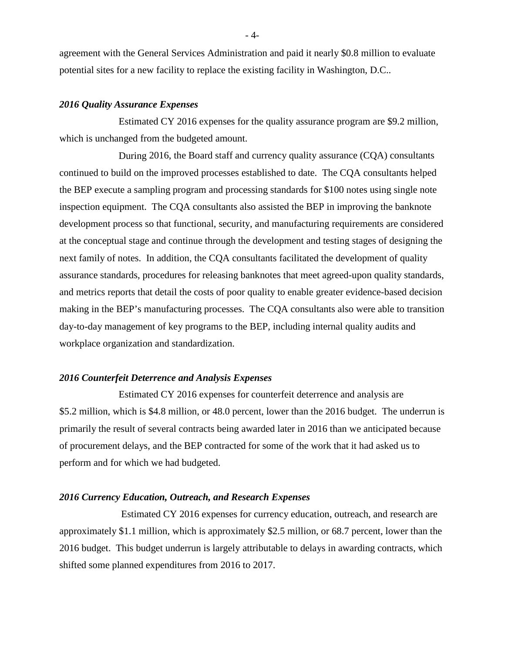agreement with the General Services Administration and paid it nearly \$0.8 million to evaluate potential sites for a new facility to replace the existing facility in Washington, D.C..

### *2016 Quality Assurance Expenses*

Estimated CY 2016 expenses for the quality assurance program are \$9.2 million, which is unchanged from the budgeted amount.

 During 2016, the Board staff and currency quality assurance (CQA) consultants continued to build on the improved processes established to date. The CQA consultants helped the BEP execute a sampling program and processing standards for \$100 notes using single note inspection equipment. The CQA consultants also assisted the BEP in improving the banknote development process so that functional, security, and manufacturing requirements are considered at the conceptual stage and continue through the development and testing stages of designing the next family of notes. In addition, the CQA consultants facilitated the development of quality assurance standards, procedures for releasing banknotes that meet agreed-upon quality standards, and metrics reports that detail the costs of poor quality to enable greater evidence-based decision making in the BEP's manufacturing processes. The CQA consultants also were able to transition day-to-day management of key programs to the BEP, including internal quality audits and workplace organization and standardization.

# *2016 Counterfeit Deterrence and Analysis Expenses*

 Estimated CY 2016 expenses for counterfeit deterrence and analysis are \$5.2 million, which is \$4.8 million, or 48.0 percent, lower than the 2016 budget. The underrun is primarily the result of several contracts being awarded later in 2016 than we anticipated because of procurement delays, and the BEP contracted for some of the work that it had asked us to perform and for which we had budgeted.

### *2016 Currency Education, Outreach, and Research Expenses*

 Estimated CY 2016 expenses for currency education, outreach, and research are approximately \$1.1 million, which is approximately \$2.5 million, or 68.7 percent, lower than the 2016 budget. This budget underrun is largely attributable to delays in awarding contracts, which shifted some planned expenditures from 2016 to 2017.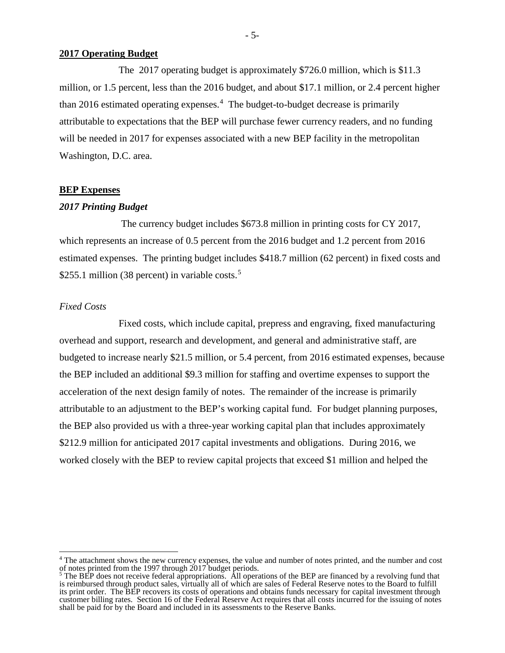#### **2017 Operating Budget**

The 2017 operating budget is approximately \$726.0 million, which is \$11.3 million, or 1.5 percent, less than the 2016 budget, and about \$17.1 million, or 2.4 percent higher than 2016 estimated operating expenses.<sup>4</sup> The budget-to-budget decrease is primarily attributable to expectations that the BEP will purchase fewer currency readers, and no funding will be needed in 2017 for expenses associated with a new BEP facility in the metropolitan Washington, D.C. area.

### **BEP Expenses**

#### *2017 Printing Budget*

 The currency budget includes \$673.8 million in printing costs for CY 2017, which represents an increase of 0.5 percent from the 2016 budget and 1.2 percent from 2016 estimated expenses. The printing budget includes \$418.7 million (62 percent) in fixed costs and \$255.1 million (38 percent) in variable costs.<sup>5</sup>

### *Fixed Costs*

 $\overline{a}$ 

Fixed costs, which include capital, prepress and engraving, fixed manufacturing overhead and support, research and development, and general and administrative staff, are budgeted to increase nearly \$21.5 million, or 5.4 percent, from 2016 estimated expenses, because the BEP included an additional \$9.3 million for staffing and overtime expenses to support the acceleration of the next design family of notes. The remainder of the increase is primarily attributable to an adjustment to the BEP's working capital fund. For budget planning purposes, the BEP also provided us with a three-year working capital plan that includes approximately \$212.9 million for anticipated 2017 capital investments and obligations. During 2016, we worked closely with the BEP to review capital projects that exceed \$1 million and helped the

<sup>&</sup>lt;sup>4</sup> The attachment shows the new currency expenses, the value and number of notes printed, and the number and cost of notes printed from the 1997 through 2017 budget periods.<br><sup>5</sup> The BEP does not receive federal appropriations. All operations of the BEP are financed by a revolving fund that

is reimbursed through product sales, virtually all of which are sales of Federal Reserve notes to the Board to fulfill its print order. The BEP recovers its costs of operations and obtains funds necessary for capital investment through customer billing rates. Section 16 of the Federal Reserve Act requires that all costs incurred for the issuing of notes shall be paid for by the Board and included in its assessments to the Reserve Banks.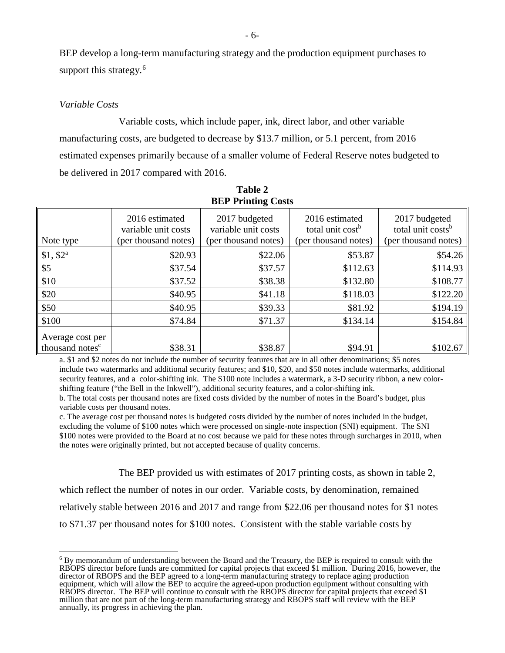BEP develop a long-term manufacturing strategy and the production equipment purchases to support this strategy.<sup>6</sup>

## *Variable Costs*

Variable costs, which include paper, ink, direct labor, and other variable manufacturing costs, are budgeted to decrease by \$13.7 million, or 5.1 percent, from 2016 estimated expenses primarily because of a smaller volume of Federal Reserve notes budgeted to be delivered in 2017 compared with 2016.

| <b>BEP Printing Costs</b>                       |                                                               |                                                              |                                                                        |                                                                        |  |  |  |  |  |  |  |  |  |
|-------------------------------------------------|---------------------------------------------------------------|--------------------------------------------------------------|------------------------------------------------------------------------|------------------------------------------------------------------------|--|--|--|--|--|--|--|--|--|
| Note type                                       | 2016 estimated<br>variable unit costs<br>(per thousand notes) | 2017 budgeted<br>variable unit costs<br>(per thousand notes) | 2016 estimated<br>total unit cost <sup>b</sup><br>(per thousand notes) | 2017 budgeted<br>total unit costs <sup>b</sup><br>(per thousand notes) |  |  |  |  |  |  |  |  |  |
| $$1, $2^a$                                      | \$20.93                                                       | \$22.06                                                      | \$53.87                                                                | \$54.26                                                                |  |  |  |  |  |  |  |  |  |
| \$5                                             | \$37.54                                                       | \$37.57                                                      | \$112.63                                                               | \$114.93                                                               |  |  |  |  |  |  |  |  |  |
| \$10                                            | \$37.52                                                       | \$38.38                                                      | \$132.80                                                               | \$108.77                                                               |  |  |  |  |  |  |  |  |  |
| \$20                                            | \$40.95                                                       | \$41.18                                                      | \$118.03                                                               | \$122.20                                                               |  |  |  |  |  |  |  |  |  |
| \$50                                            | \$40.95                                                       | \$39.33                                                      | \$81.92                                                                | \$194.19                                                               |  |  |  |  |  |  |  |  |  |
| \$100                                           | \$74.84                                                       | \$71.37                                                      | \$134.14                                                               | \$154.84                                                               |  |  |  |  |  |  |  |  |  |
| Average cost per<br>thousand notes <sup>c</sup> | \$38.31                                                       | \$38.87                                                      | \$94.91                                                                | \$102.67                                                               |  |  |  |  |  |  |  |  |  |

**Table 2 BEP Printing Costs**

a. \$1 and \$2 notes do not include the number of security features that are in all other denominations; \$5 notes include two watermarks and additional security features; and \$10, \$20, and \$50 notes include watermarks, additional security features, and a color-shifting ink. The \$100 note includes a watermark, a 3-D security ribbon, a new colorshifting feature ("the Bell in the Inkwell"), additional security features, and a color-shifting ink.

b. The total costs per thousand notes are fixed costs divided by the number of notes in the Board's budget, plus variable costs per thousand notes.

c. The average cost per thousand notes is budgeted costs divided by the number of notes included in the budget, excluding the volume of \$100 notes which were processed on single-note inspection (SNI) equipment. The SNI \$100 notes were provided to the Board at no cost because we paid for these notes through surcharges in 2010, when the notes were originally printed, but not accepted because of quality concerns.

The BEP provided us with estimates of 2017 printing costs, as shown in table 2,

which reflect the number of notes in our order. Variable costs, by denomination, remained

relatively stable between 2016 and 2017 and range from \$22.06 per thousand notes for \$1 notes

to \$71.37 per thousand notes for \$100 notes. Consistent with the stable variable costs by

 $\overline{a}$ <sup>6</sup> By memorandum of understanding between the Board and the Treasury, the BEP is required to consult with the RBOPS director before funds are committed for capital projects that exceed \$1 million. During 2016, however, the director of RBOPS and the BEP agreed to a long-term manufacturing strategy to replace aging production equipment, which will allow the BEP to acquire the agreed-upon production equipment without consulting with RBOPS director. The BEP will continue to consult with the RBOPS director for capital projects that exceed \$1 million that are not part of the long-term manufacturing strategy and RBOPS staff will review with the BEP annually, its progress in achieving the plan.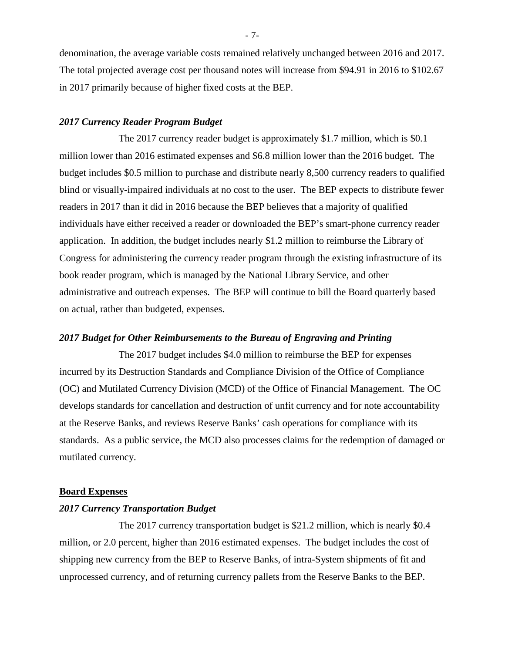denomination, the average variable costs remained relatively unchanged between 2016 and 2017. The total projected average cost per thousand notes will increase from \$94.91 in 2016 to \$102.67 in 2017 primarily because of higher fixed costs at the BEP.

## *2017 Currency Reader Program Budget*

The 2017 currency reader budget is approximately \$1.7 million, which is \$0.1 million lower than 2016 estimated expenses and \$6.8 million lower than the 2016 budget. The budget includes \$0.5 million to purchase and distribute nearly 8,500 currency readers to qualified blind or visually-impaired individuals at no cost to the user. The BEP expects to distribute fewer readers in 2017 than it did in 2016 because the BEP believes that a majority of qualified individuals have either received a reader or downloaded the BEP's smart-phone currency reader application. In addition, the budget includes nearly \$1.2 million to reimburse the Library of Congress for administering the currency reader program through the existing infrastructure of its book reader program, which is managed by the National Library Service, and other administrative and outreach expenses. The BEP will continue to bill the Board quarterly based on actual, rather than budgeted, expenses.

### *2017 Budget for Other Reimbursements to the Bureau of Engraving and Printing*

The 2017 budget includes \$4.0 million to reimburse the BEP for expenses incurred by its Destruction Standards and Compliance Division of the Office of Compliance (OC) and Mutilated Currency Division (MCD) of the Office of Financial Management. The OC develops standards for cancellation and destruction of unfit currency and for note accountability at the Reserve Banks, and reviews Reserve Banks' cash operations for compliance with its standards. As a public service, the MCD also processes claims for the redemption of damaged or mutilated currency.

# **Board Expenses**

## *2017 Currency Transportation Budget*

The 2017 currency transportation budget is \$21.2 million, which is nearly \$0.4 million, or 2.0 percent, higher than 2016 estimated expenses. The budget includes the cost of shipping new currency from the BEP to Reserve Banks, of intra-System shipments of fit and unprocessed currency, and of returning currency pallets from the Reserve Banks to the BEP.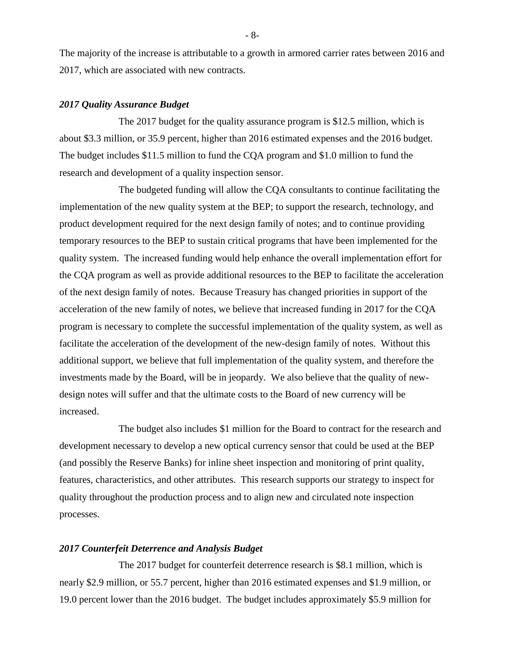The majority of the increase is attributable to a growth in armored carrier rates between 2016 and 2017, which are associated with new contracts.

### *2017 Quality Assurance Budget*

 The 2017 budget for the quality assurance program is \$12.5 million, which is about \$3.3 million, or 35.9 percent, higher than 2016 estimated expenses and the 2016 budget. The budget includes \$11.5 million to fund the CQA program and \$1.0 million to fund the research and development of a quality inspection sensor.

The budgeted funding will allow the CQA consultants to continue facilitating the implementation of the new quality system at the BEP; to support the research, technology, and product development required for the next design family of notes; and to continue providing temporary resources to the BEP to sustain critical programs that have been implemented for the quality system. The increased funding would help enhance the overall implementation effort for the CQA program as well as provide additional resources to the BEP to facilitate the acceleration of the next design family of notes. Because Treasury has changed priorities in support of the acceleration of the new family of notes, we believe that increased funding in 2017 for the CQA program is necessary to complete the successful implementation of the quality system, as well as facilitate the acceleration of the development of the new-design family of notes. Without this additional support, we believe that full implementation of the quality system, and therefore the investments made by the Board, will be in jeopardy. We also believe that the quality of newdesign notes will suffer and that the ultimate costs to the Board of new currency will be increased.

 The budget also includes \$1 million for the Board to contract for the research and development necessary to develop a new optical currency sensor that could be used at the BEP (and possibly the Reserve Banks) for inline sheet inspection and monitoring of print quality, features, characteristics, and other attributes. This research supports our strategy to inspect for quality throughout the production process and to align new and circulated note inspection processes.

### *2017 Counterfeit Deterrence and Analysis Budget*

The 2017 budget for counterfeit deterrence research is \$8.1 million, which is nearly \$2.9 million, or 55.7 percent, higher than 2016 estimated expenses and \$1.9 million, or 19.0 percent lower than the 2016 budget. The budget includes approximately \$5.9 million for

- 8-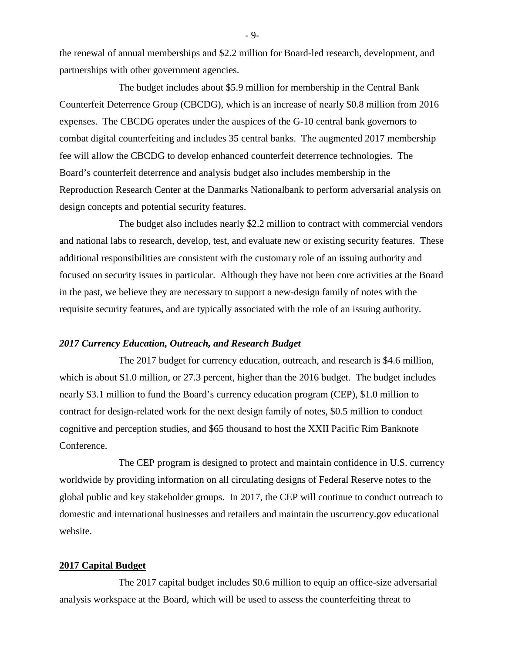the renewal of annual memberships and \$2.2 million for Board-led research, development, and partnerships with other government agencies.

The budget includes about \$5.9 million for membership in the Central Bank Counterfeit Deterrence Group (CBCDG), which is an increase of nearly \$0.8 million from 2016 expenses. The CBCDG operates under the auspices of the G-10 central bank governors to combat digital counterfeiting and includes 35 central banks. The augmented 2017 membership fee will allow the CBCDG to develop enhanced counterfeit deterrence technologies. The Board's counterfeit deterrence and analysis budget also includes membership in the Reproduction Research Center at the Danmarks Nationalbank to perform adversarial analysis on design concepts and potential security features.

The budget also includes nearly \$2.2 million to contract with commercial vendors and national labs to research, develop, test, and evaluate new or existing security features. These additional responsibilities are consistent with the customary role of an issuing authority and focused on security issues in particular. Although they have not been core activities at the Board in the past, we believe they are necessary to support a new-design family of notes with the requisite security features, and are typically associated with the role of an issuing authority.

## *2017 Currency Education, Outreach, and Research Budget*

 The 2017 budget for currency education, outreach, and research is \$4.6 million, which is about \$1.0 million, or 27.3 percent, higher than the 2016 budget. The budget includes nearly \$3.1 million to fund the Board's currency education program (CEP), \$1.0 million to contract for design-related work for the next design family of notes, \$0.5 million to conduct cognitive and perception studies, and \$65 thousand to host the XXII Pacific Rim Banknote Conference.

The CEP program is designed to protect and maintain confidence in U.S. currency worldwide by providing information on all circulating designs of Federal Reserve notes to the global public and key stakeholder groups. In 2017, the CEP will continue to conduct outreach to domestic and international businesses and retailers and maintain the uscurrency.gov educational website.

#### **2017 Capital Budget**

 The 2017 capital budget includes \$0.6 million to equip an office-size adversarial analysis workspace at the Board, which will be used to assess the counterfeiting threat to

- 9-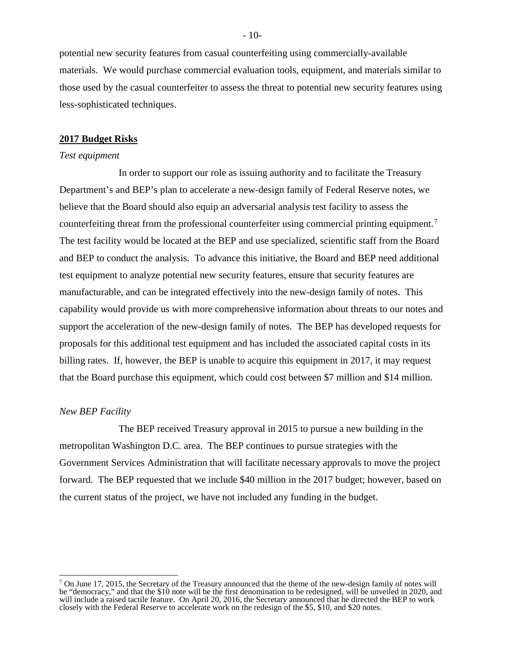potential new security features from casual counterfeiting using commercially-available materials. We would purchase commercial evaluation tools, equipment, and materials similar to those used by the casual counterfeiter to assess the threat to potential new security features using less-sophisticated techniques.

#### **2017 Budget Risks**

#### *Test equipment*

 In order to support our role as issuing authority and to facilitate the Treasury Department's and BEP's plan to accelerate a new-design family of Federal Reserve notes, we believe that the Board should also equip an adversarial analysis test facility to assess the counterfeiting threat from the professional counterfeiter using commercial printing equipment.<sup>7</sup> The test facility would be located at the BEP and use specialized, scientific staff from the Board and BEP to conduct the analysis. To advance this initiative, the Board and BEP need additional test equipment to analyze potential new security features, ensure that security features are manufacturable, and can be integrated effectively into the new-design family of notes. This capability would provide us with more comprehensive information about threats to our notes and support the acceleration of the new-design family of notes. The BEP has developed requests for proposals for this additional test equipment and has included the associated capital costs in its billing rates. If, however, the BEP is unable to acquire this equipment in 2017, it may request that the Board purchase this equipment, which could cost between \$7 million and \$14 million.

#### *New BEP Facility*

 $\overline{a}$ 

The BEP received Treasury approval in 2015 to pursue a new building in the metropolitan Washington D.C. area. The BEP continues to pursue strategies with the Government Services Administration that will facilitate necessary approvals to move the project forward. The BEP requested that we include \$40 million in the 2017 budget; however, based on the current status of the project, we have not included any funding in the budget.

 $-10-$ 

 $7$  On June 17, 2015, the Secretary of the Treasury announced that the theme of the new-design family of notes will be "democracy," and that the \$10 note will be the first denomination to be redesigned, will be unveiled in 2020, and will include a raised tactile feature. On April 20, 2016, the Secretary announced that he directed the BEP to work closely with the Federal Reserve to accelerate work on the redesign of the \$5, \$10, and \$20 notes.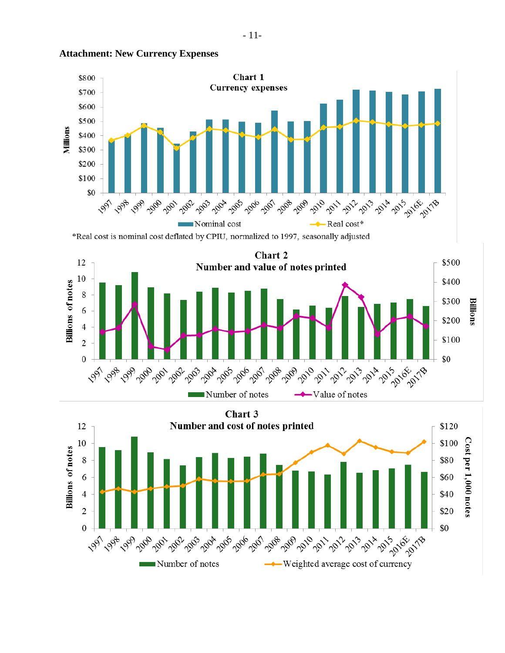

#### **Attachment: New Currency Expenses**